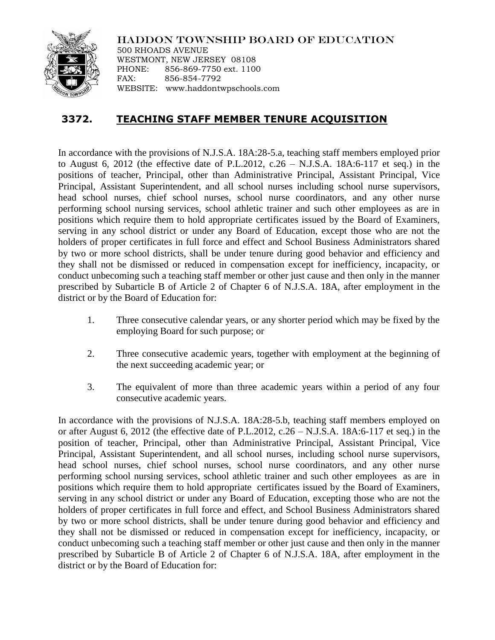

HADDON TOWNSHIP BOARD OF EDUCATION 500 RHOADS AVENUE WESTMONT, NEW JERSEY 08108 PHONE: 856-869-7750 ext. 1100 FAX: 856-854-7792 WEBSITE: www.haddontwpschools.com

## **3372. TEACHING STAFF MEMBER TENURE ACQUISITION**

In accordance with the provisions of N.J.S.A. 18A:28-5.a, teaching staff members employed prior to August 6, 2012 (the effective date of P.L.2012, c.26 – N.J.S.A. 18A:6-117 et seq.) in the positions of teacher, Principal, other than Administrative Principal, Assistant Principal, Vice Principal, Assistant Superintendent, and all school nurses including school nurse supervisors, head school nurses, chief school nurses, school nurse coordinators, and any other nurse performing school nursing services, school athletic trainer and such other employees as are in positions which require them to hold appropriate certificates issued by the Board of Examiners, serving in any school district or under any Board of Education, except those who are not the holders of proper certificates in full force and effect and School Business Administrators shared by two or more school districts, shall be under tenure during good behavior and efficiency and they shall not be dismissed or reduced in compensation except for inefficiency, incapacity, or conduct unbecoming such a teaching staff member or other just cause and then only in the manner prescribed by Subarticle B of Article 2 of Chapter 6 of N.J.S.A. 18A, after employment in the district or by the Board of Education for:

- 1. Three consecutive calendar years, or any shorter period which may be fixed by the employing Board for such purpose; or
- 2. Three consecutive academic years, together with employment at the beginning of the next succeeding academic year; or
- 3. The equivalent of more than three academic years within a period of any four consecutive academic years.

In accordance with the provisions of N.J.S.A. 18A:28-5.b, teaching staff members employed on or after August 6, 2012 (the effective date of P.L.2012, c.26 – N.J.S.A. 18A:6-117 et seq.) in the position of teacher, Principal, other than Administrative Principal, Assistant Principal, Vice Principal, Assistant Superintendent, and all school nurses, including school nurse supervisors, head school nurses, chief school nurses, school nurse coordinators, and any other nurse performing school nursing services, school athletic trainer and such other employees as are in positions which require them to hold appropriate certificates issued by the Board of Examiners, serving in any school district or under any Board of Education, excepting those who are not the holders of proper certificates in full force and effect, and School Business Administrators shared by two or more school districts, shall be under tenure during good behavior and efficiency and they shall not be dismissed or reduced in compensation except for inefficiency, incapacity, or conduct unbecoming such a teaching staff member or other just cause and then only in the manner prescribed by Subarticle B of Article 2 of Chapter 6 of N.J.S.A. 18A, after employment in the district or by the Board of Education for: